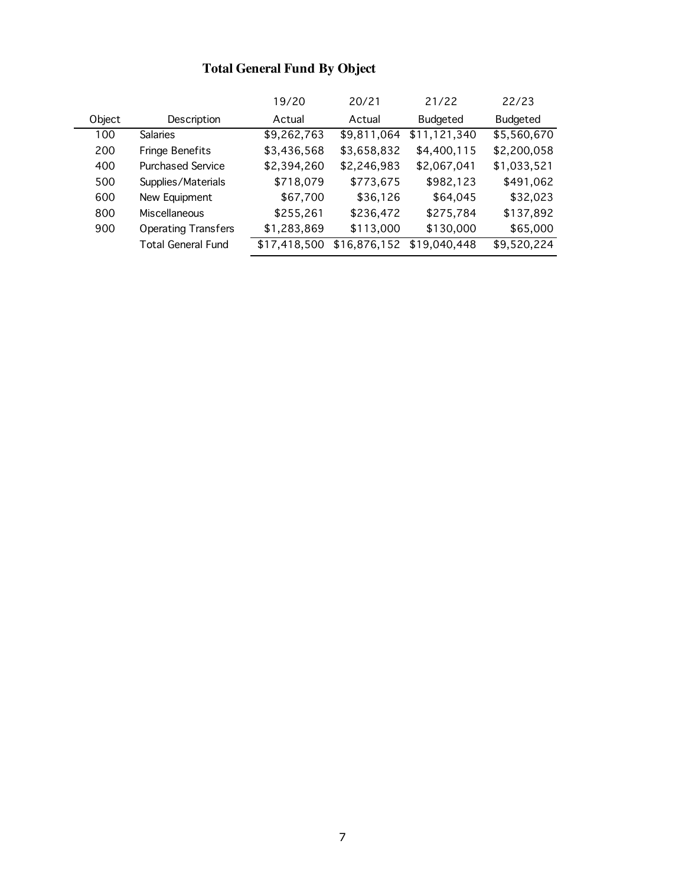# **Total General Fund By Object**

|        |                            | 19/20        | 20/21        | 21/22           | 22/23       |
|--------|----------------------------|--------------|--------------|-----------------|-------------|
| Object | Description                | Actual       | Actual       | <b>Budgeted</b> | Budgeted    |
| 100    | Salaries                   | \$9,262,763  | \$9,811,064  | \$11,121,340    | \$5,560,670 |
| 200    | <b>Fringe Benefits</b>     | \$3,436,568  | \$3,658,832  | \$4,400,115     | \$2,200,058 |
| 400    | <b>Purchased Service</b>   | \$2,394,260  | \$2,246,983  | \$2,067,041     | \$1,033,521 |
| 500    | Supplies/Materials         | \$718,079    | \$773,675    | \$982,123       | \$491,062   |
| 600    | New Equipment              | \$67,700     | \$36,126     | \$64,045        | \$32,023    |
| 800    | Miscellaneous              | \$255,261    | \$236,472    | \$275,784       | \$137,892   |
| 900    | <b>Operating Transfers</b> | \$1,283,869  | \$113,000    | \$130,000       | \$65,000    |
|        | <b>Total General Fund</b>  | \$17,418,500 | \$16,876,152 | \$19,040,448    | \$9,520,224 |
|        |                            |              |              |                 |             |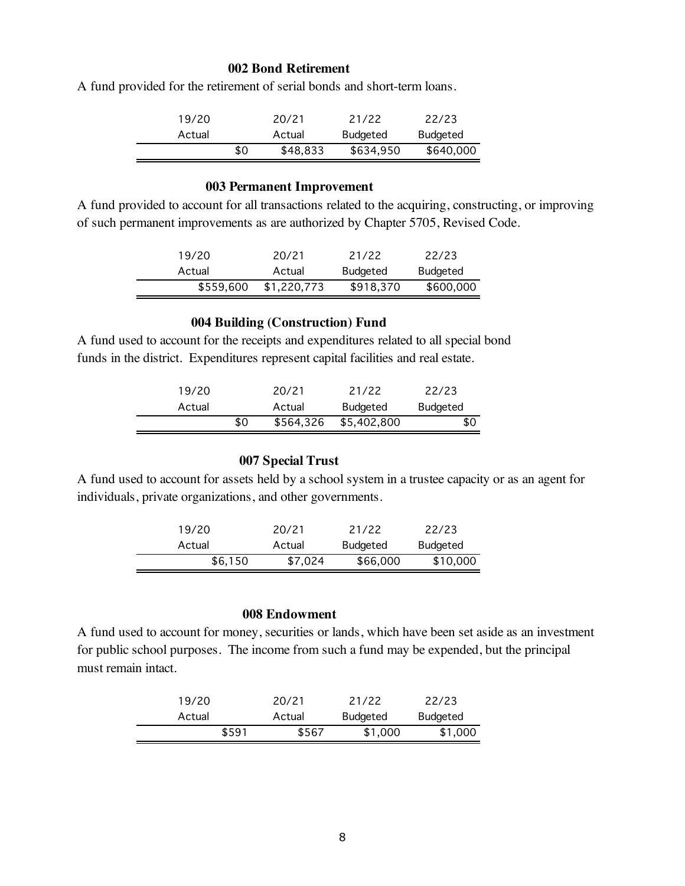#### **002 Bond Retirement**

A fund provided for the retirement of serial bonds and short-term loans.

| 19/20  |     | 20/21    | 21/22           | 22/23     |
|--------|-----|----------|-----------------|-----------|
| Actual |     | Actual   | <b>Budgeted</b> | Budgeted  |
|        | \$0 | \$48,833 | \$634.950       | \$640,000 |

#### **003 Permanent Improvement**

A fund provided to account for all transactions related to the acquiring, constructing, or improving of such permanent improvements as are authorized by Chapter 5705, Revised Code.

| 19/20     | 20/21       | 21/22           | 22/23     |
|-----------|-------------|-----------------|-----------|
| Actual    | Actual      | <b>Budgeted</b> | Budgeted  |
| \$559,600 | \$1,220,773 | \$918,370       | \$600,000 |

#### **004 Building (Construction) Fund**

A fund used to account for the receipts and expenditures related to all special bond funds in the district. Expenditures represent capital facilities and real estate.

| 19/20  |     | 20/21     | 21/22       | 22/23           |
|--------|-----|-----------|-------------|-----------------|
| Actual |     | Actual    | Budgeted    | <b>Budgeted</b> |
|        | \$0 | \$564,326 | \$5,402,800 | \$0             |

# **007 Special Trust**

A fund used to account for assets held by a school system in a trustee capacity or as an agent for individuals, private organizations, and other governments.

| 19/20   | 20/21   | 21/22           | 22/23    |
|---------|---------|-----------------|----------|
| Actual  | Actual  | <b>Budgeted</b> | Budgeted |
| \$6,150 | \$7.024 | \$66,000        | \$10,000 |

#### **008 Endowment**

A fund used to account for money, securities or lands, which have been set aside as an investment for public school purposes. The income from such a fund may be expended, but the principal must remain intact.

| 19/20  | 20/21  | 21/22    | 22/23           |
|--------|--------|----------|-----------------|
| Actual | Actual | Budgeted | <b>Budgeted</b> |
| \$591  | \$567  | \$1,000  | \$1,000         |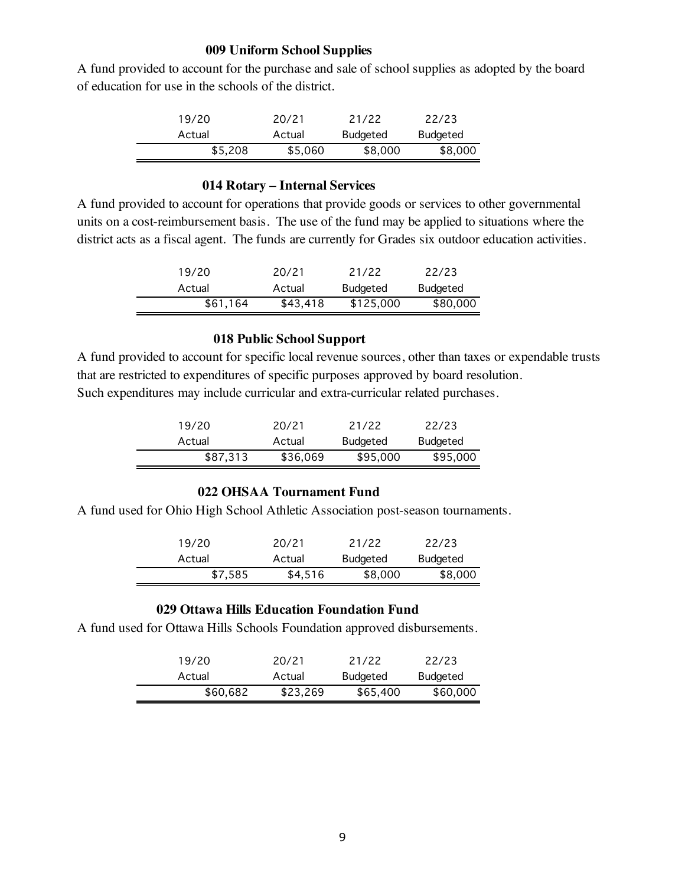#### **009 Uniform School Supplies**

A fund provided to account for the purchase and sale of school supplies as adopted by the board of education for use in the schools of the district.

| 19/20   | 20/21   | 21/22           | 22/23           |
|---------|---------|-----------------|-----------------|
| Actual  | Actual  | <b>Budgeted</b> | <b>Budgeted</b> |
| \$5,208 | \$5,060 | \$8,000         | \$8,000         |

## **014 Rotary – Internal Services**

A fund provided to account for operations that provide goods or services to other governmental units on a cost-reimbursement basis. The use of the fund may be applied to situations where the district acts as a fiscal agent. The funds are currently for Grades six outdoor education activities.

| 19/20    | 20/21    | 21/22           | 22/23    |
|----------|----------|-----------------|----------|
| Actual   | Actual   | <b>Budgeted</b> | Budgeted |
| \$61,164 | \$43,418 | \$125,000       | \$80,000 |

## **018 Public School Support**

A fund provided to account for specific local revenue sources, other than taxes or expendable trusts that are restricted to expenditures of specific purposes approved by board resolution. Such expenditures may include curricular and extra-curricular related purchases.

| 19/20    | 20/21    | 21/22           | 22/23           |
|----------|----------|-----------------|-----------------|
| Actual   | Actual   | <b>Budgeted</b> | <b>Budgeted</b> |
| \$87,313 | \$36,069 | \$95,000        | \$95,000        |

## **022 OHSAA Tournament Fund**

A fund used for Ohio High School Athletic Association post-season tournaments.

| 19/20   | 20/21   | 21/22    | 22/23    |
|---------|---------|----------|----------|
| Actual  | Actual  | Budgeted | Budgeted |
| \$7,585 | \$4,516 | \$8,000  | \$8,000  |

## **029 Ottawa Hills Education Foundation Fund**

A fund used for Ottawa Hills Schools Foundation approved disbursements.

| 19/20    | 20/21    | 21/22           | 22/23    |
|----------|----------|-----------------|----------|
| Actual   | Actual   | <b>Budgeted</b> | Budgeted |
| \$60,682 | \$23,269 | \$65,400        | \$60,000 |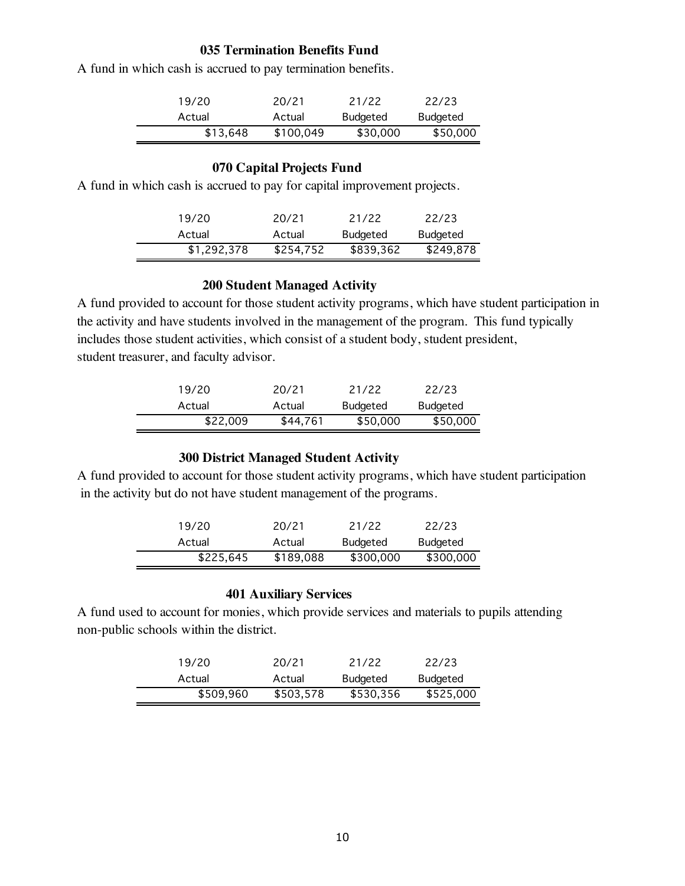## **035 Termination Benefits Fund**

A fund in which cash is accrued to pay termination benefits.

| 19/20    | 20/21     | 21/22           | 22/23    |
|----------|-----------|-----------------|----------|
| Actual   | Actual    | <b>Budgeted</b> | Budgeted |
| \$13,648 | \$100,049 | \$30,000        | \$50,000 |

# **070 Capital Projects Fund**

A fund in which cash is accrued to pay for capital improvement projects.

| 19/20       | 20/21     | 21/22           | 22/23     |
|-------------|-----------|-----------------|-----------|
| Actual      | Actual    | <b>Budgeted</b> | Budgeted  |
| \$1,292,378 | \$254,752 | \$839,362       | \$249,878 |

## **200 Student Managed Activity**

A fund provided to account for those student activity programs, which have student participation in the activity and have students involved in the management of the program. This fund typically includes those student activities, which consist of a student body, student president, student treasurer, and faculty advisor.

| 19/20    | 20/21    | 21/22    | 22/23           |
|----------|----------|----------|-----------------|
| Actual   | Actual   | Budgeted | <b>Budgeted</b> |
| \$22,009 | \$44,761 | \$50,000 | \$50,000        |

## **300 District Managed Student Activity**

A fund provided to account for those student activity programs, which have student participation in the activity but do not have student management of the programs.

| 19/20     | 20/21     | 21/22           | 22/23     |
|-----------|-----------|-----------------|-----------|
| Actual    | Actual    | <b>Budgeted</b> | Budgeted  |
| \$225,645 | \$189,088 | \$300,000       | \$300,000 |

## **401 Auxiliary Services**

A fund used to account for monies, which provide services and materials to pupils attending non-public schools within the district.

| 19/20     | 20/21     | 21/22     | 22/23     |
|-----------|-----------|-----------|-----------|
| Actual    | Actual    | Budgeted  | Budgeted  |
| \$509,960 | \$503,578 | \$530,356 | \$525,000 |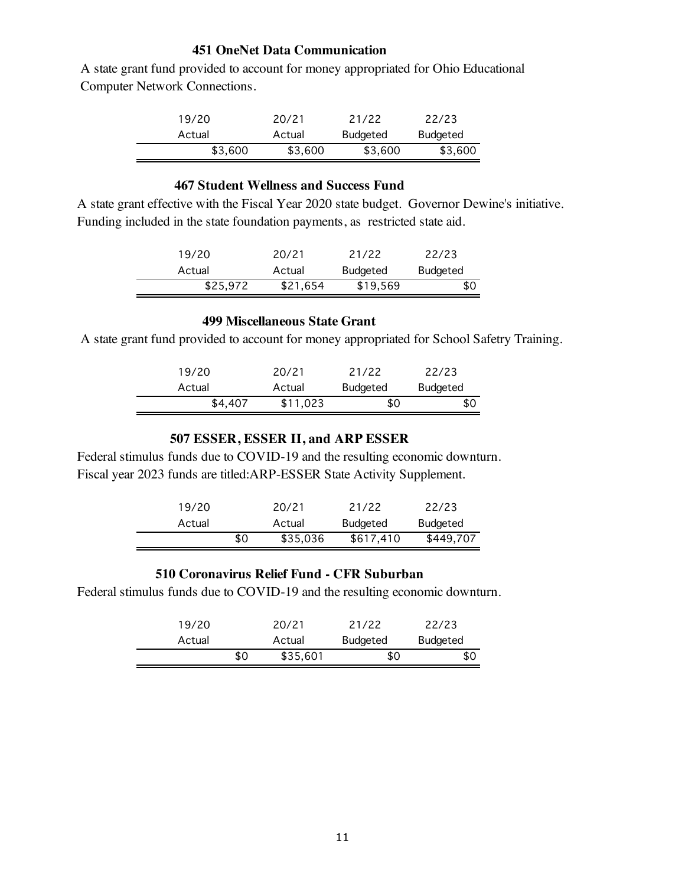#### **451 OneNet Data Communication**

 A state grant fund provided to account for money appropriated for Ohio Educational Computer Network Connections.

| 19/20   | 20/21   | 21/22    | 22/23           |
|---------|---------|----------|-----------------|
| Actual  | Actual  | Budgeted | <b>Budgeted</b> |
| \$3.600 | \$3,600 | \$3,600  | \$3,600         |

## **467 Student Wellness and Success Fund**

A state grant effective with the Fiscal Year 2020 state budget. Governor Dewine's initiative. Funding included in the state foundation payments, as restricted state aid.

| 19/20    | 20/21    | 21/22           | 22/23    |
|----------|----------|-----------------|----------|
| Actual   | Actual   | <b>Budgeted</b> | Budgeted |
| \$25,972 | \$21,654 | \$19,569        | \$0      |

# **499 Miscellaneous State Grant**

A state grant fund provided to account for money appropriated for School Safetry Training.

| 19/20   | 20/21    | 21/22    | 22/23    |
|---------|----------|----------|----------|
| Actual  | Actual   | Budgeted | Budgeted |
| \$4,407 | \$11,023 | \$0      | \$0      |

## **507 ESSER, ESSER II, and ARP ESSER**

Federal stimulus funds due to COVID-19 and the resulting economic downturn. Fiscal year 2023 funds are titled:ARP-ESSER State Activity Supplement.

| 19/20  |     | 20/21    | 21/22           | 22/23     |
|--------|-----|----------|-----------------|-----------|
| Actual |     | Actual   | <b>Budgeted</b> | Budgeted  |
|        | \$0 | \$35,036 | \$617,410       | \$449,707 |

## **510 Coronavirus Relief Fund - CFR Suburban**

Federal stimulus funds due to COVID-19 and the resulting economic downturn.

| 19/20  |     | 20/21    | 21/22           | 22/23    |
|--------|-----|----------|-----------------|----------|
| Actual |     | Actual   | <b>Budgeted</b> | Budgeted |
|        | \$0 | \$35,601 | \$0             | \$0      |